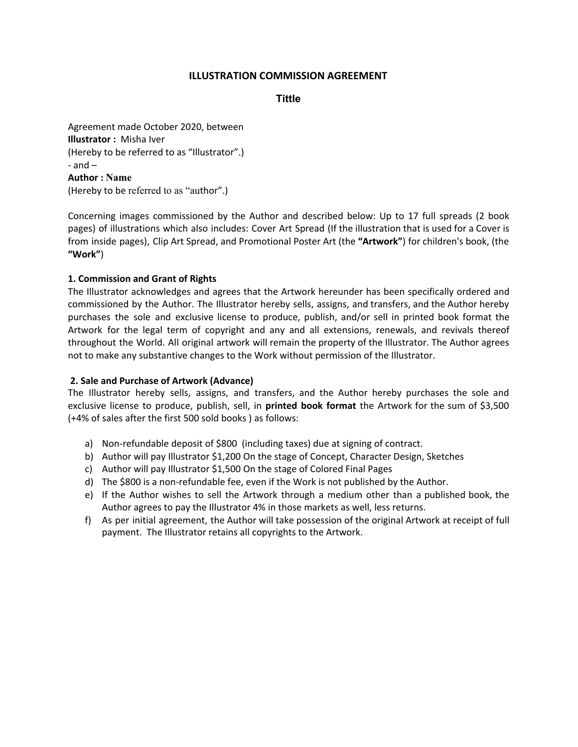# **ILLUSTRATION COMMISSION AGREEMENT**

**Tittle**

Agreement made October 2020, between **Illustrator :** Misha Iver (Hereby to be referred to as "Illustrator".)  $-$  and  $-$ **Author : Name** (Hereby to be referred to as "author".)

Concerning images commissioned by the Author and described below: Up to 17 full spreads (2 book pages) of illustrations which also includes: Cover Art Spread (If the illustration that is used for a Cover is from inside pages), Clip Art Spread, and Promotional Poster Art (the **"Artwork"**) for children's book, (the **"Work"**)

## **1. Commission and Grant of Rights**

The Illustrator acknowledges and agrees that the Artwork hereunder has been specifically ordered and commissioned by the Author. The Illustrator hereby sells, assigns, and transfers, and the Author hereby purchases the sole and exclusive license to produce, publish, and/or sell in printed book format the Artwork for the legal term of copyright and any and all extensions, renewals, and revivals thereof throughout the World. All original artwork will remain the property of the Illustrator. The Author agrees not to make any substantive changes to the Work without permission of the Illustrator.

## **2. Sale and Purchase of Artwork (Advance)**

The Illustrator hereby sells, assigns, and transfers, and the Author hereby purchases the sole and exclusive license to produce, publish, sell, in **printed book format** the Artwork for the sum of \$3,500 (+4% of sales after the first 500 sold books ) as follows:

- a) Non-refundable deposit of \$800 (including taxes) due at signing of contract.
- b) Author will pay Illustrator \$1,200 On the stage of Concept, Character Design, Sketches
- c) Author will pay Illustrator \$1,500 On the stage of Colored Final Pages
- d) The \$800 is a non-refundable fee, even if the Work is not published by the Author.
- e) If the Author wishes to sell the Artwork through a medium other than a published book, the Author agrees to pay the Illustrator 4% in those markets as well, less returns.
- f) As per initial agreement, the Author will take possession of the original Artwork at receipt of full payment. The Illustrator retains all copyrights to the Artwork.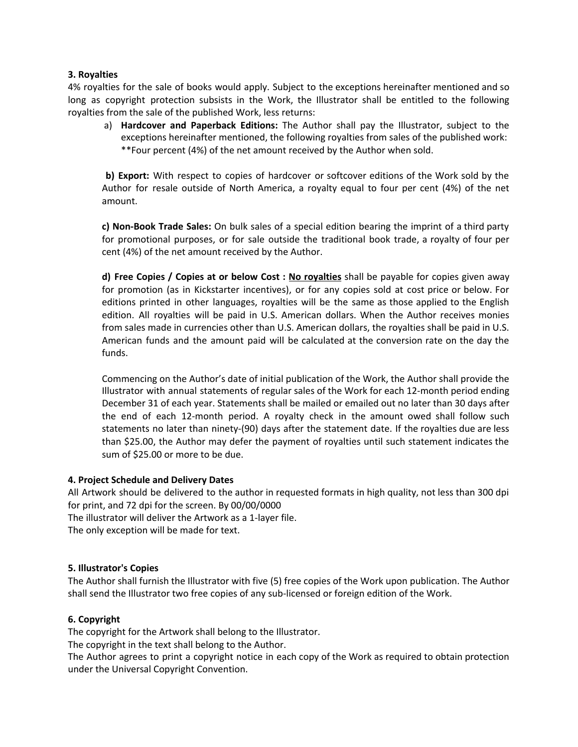## **3. Royalties**

4% royalties for the sale of books would apply. Subject to the exceptions hereinafter mentioned and so long as copyright protection subsists in the Work, the Illustrator shall be entitled to the following royalties from the sale of the published Work, less returns:

a) **Hardcover and Paperback Editions:** The Author shall pay the Illustrator, subject to the exceptions hereinafter mentioned, the following royalties from sales of the published work: \*\*Four percent (4%) of the net amount received by the Author when sold.

**b) Export:** With respect to copies of hardcover or softcover editions of the Work sold by the Author for resale outside of North America, a royalty equal to four per cent (4%) of the net amount.

**c) Non-Book Trade Sales:** On bulk sales of a special edition bearing the imprint of a third party for promotional purposes, or for sale outside the traditional book trade, a royalty of four per cent (4%) of the net amount received by the Author.

**d) Free Copies / Copies at or below Cost : No royalties** shall be payable for copies given away for promotion (as in Kickstarter incentives), or for any copies sold at cost price or below. For editions printed in other languages, royalties will be the same as those applied to the English edition. All royalties will be paid in U.S. American dollars. When the Author receives monies from sales made in currencies other than U.S. American dollars, the royalties shall be paid in U.S. American funds and the amount paid will be calculated at the conversion rate on the day the funds.

Commencing on the Author's date of initial publication of the Work, the Author shall provide the Illustrator with annual statements of regular sales of the Work for each 12-month period ending December 31 of each year. Statements shall be mailed or emailed out no later than 30 days after the end of each 12-month period. A royalty check in the amount owed shall follow such statements no later than ninety-(90) days after the statement date. If the royalties due are less than \$25.00, the Author may defer the payment of royalties until such statement indicates the sum of \$25.00 or more to be due.

## **4. Project Schedule and Delivery Dates**

All Artwork should be delivered to the author in requested formats in high quality, not less than 300 dpi for print, and 72 dpi for the screen. By 00/00/0000

The illustrator will deliver the Artwork as a 1-layer file.

The only exception will be made for text.

#### **5. Illustrator's Copies**

The Author shall furnish the Illustrator with five (5) free copies of the Work upon publication. The Author shall send the Illustrator two free copies of any sub-licensed or foreign edition of the Work.

#### **6. Copyright**

The copyright for the Artwork shall belong to the Illustrator.

The copyright in the text shall belong to the Author.

The Author agrees to print a copyright notice in each copy of the Work as required to obtain protection under the Universal Copyright Convention.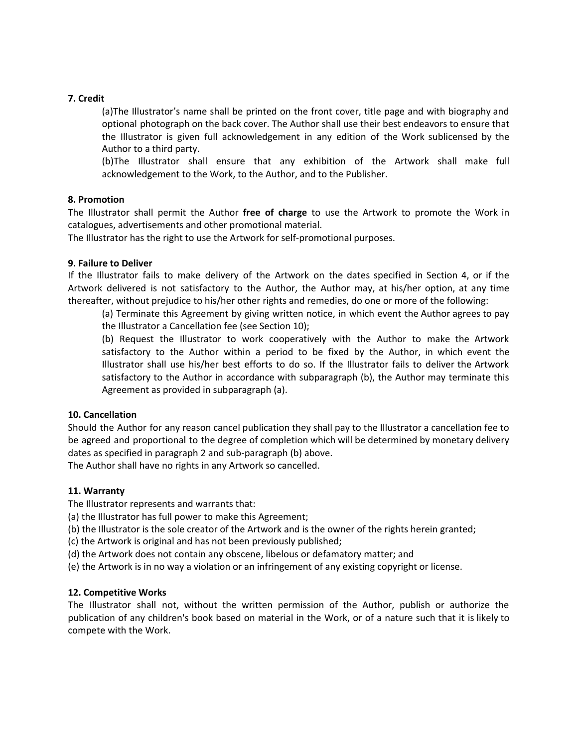### **7. Credit**

(a)The Illustrator's name shall be printed on the front cover, title page and with biography and optional photograph on the back cover. The Author shall use their best endeavors to ensure that the Illustrator is given full acknowledgement in any edition of the Work sublicensed by the Author to a third party.

(b)The Illustrator shall ensure that any exhibition of the Artwork shall make full acknowledgement to the Work, to the Author, and to the Publisher.

### **8. Promotion**

The Illustrator shall permit the Author **free of charge** to use the Artwork to promote the Work in catalogues, advertisements and other promotional material.

The Illustrator has the right to use the Artwork for self-promotional purposes.

### **9. Failure to Deliver**

If the Illustrator fails to make delivery of the Artwork on the dates specified in Section 4, or if the Artwork delivered is not satisfactory to the Author, the Author may, at his/her option, at any time thereafter, without prejudice to his/her other rights and remedies, do one or more of the following:

(a) Terminate this Agreement by giving written notice, in which event the Author agrees to pay the Illustrator a Cancellation fee (see Section 10);

(b) Request the Illustrator to work cooperatively with the Author to make the Artwork satisfactory to the Author within a period to be fixed by the Author, in which event the Illustrator shall use his/her best efforts to do so. If the Illustrator fails to deliver the Artwork satisfactory to the Author in accordance with subparagraph (b), the Author may terminate this Agreement as provided in subparagraph (a).

#### **10. Cancellation**

Should the Author for any reason cancel publication they shall pay to the Illustrator a cancellation fee to be agreed and proportional to the degree of completion which will be determined by monetary delivery dates as specified in paragraph 2 and sub-paragraph (b) above.

The Author shall have no rights in any Artwork so cancelled.

#### **11. Warranty**

The Illustrator represents and warrants that:

(a) the Illustrator has full power to make this Agreement;

(b) the Illustrator is the sole creator of the Artwork and is the owner of the rights herein granted;

(c) the Artwork is original and has not been previously published;

(d) the Artwork does not contain any obscene, libelous or defamatory matter; and

(e) the Artwork is in no way a violation or an infringement of any existing copyright or license.

## **12. Competitive Works**

The Illustrator shall not, without the written permission of the Author, publish or authorize the publication of any children's book based on material in the Work, or of a nature such that it is likely to compete with the Work.